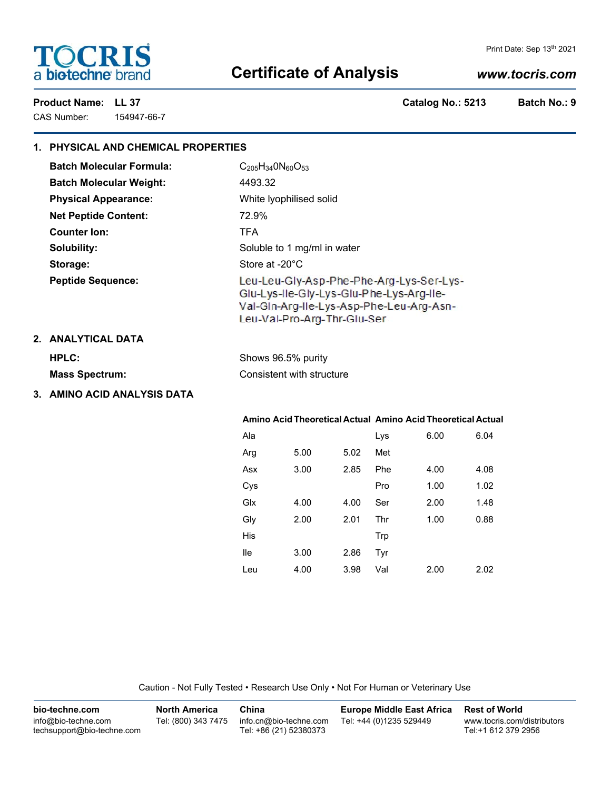# **TOCRIS** a biotechne brand

#### Print Date: Sep 13th 2021

# **Certificate of Analysis**

### *www.tocris.com*

CAS Number: 154947-66-7

Product Name: LL 37 **Catalog No.: 5213** Batch No.: 9

| 1. PHYSICAL AND CHEMICAL PROPERTIES |                                                                                                                                                                 |      |      |            |      |      |  |
|-------------------------------------|-----------------------------------------------------------------------------------------------------------------------------------------------------------------|------|------|------------|------|------|--|
| <b>Batch Molecular Formula:</b>     | $C_{205}H_{34}0N_{60}O_{53}$                                                                                                                                    |      |      |            |      |      |  |
| <b>Batch Molecular Weight:</b>      | 4493.32                                                                                                                                                         |      |      |            |      |      |  |
| <b>Physical Appearance:</b>         | White lyophilised solid                                                                                                                                         |      |      |            |      |      |  |
| <b>Net Peptide Content:</b>         | 72.9%                                                                                                                                                           |      |      |            |      |      |  |
| <b>Counter Ion:</b>                 | <b>TFA</b>                                                                                                                                                      |      |      |            |      |      |  |
| Solubility:                         | Soluble to 1 mg/ml in water                                                                                                                                     |      |      |            |      |      |  |
| Storage:                            | Store at -20°C                                                                                                                                                  |      |      |            |      |      |  |
| <b>Peptide Sequence:</b>            | Leu-Leu-Gly-Asp-Phe-Phe-Arg-Lys-Ser-Lys-<br>Glu-Lys-Ile-Gly-Lys-Glu-Phe-Lys-Arg-Ile-<br>Val-Gin-Arg-lie-Lys-Asp-Phe-Leu-Arg-Asn-<br>Leu-Val-Pro-Arg-Thr-Glu-Ser |      |      |            |      |      |  |
| 2. ANALYTICAL DATA                  |                                                                                                                                                                 |      |      |            |      |      |  |
| <b>HPLC:</b>                        | Shows 96.5% purity<br>Consistent with structure                                                                                                                 |      |      |            |      |      |  |
| <b>Mass Spectrum:</b>               |                                                                                                                                                                 |      |      |            |      |      |  |
| 3. AMINO ACID ANALYSIS DATA         |                                                                                                                                                                 |      |      |            |      |      |  |
|                                     | Amino Acid Theoretical Actual Amino Acid Theoretical Actual                                                                                                     |      |      |            |      |      |  |
|                                     | Ala                                                                                                                                                             |      |      | Lys        | 6.00 | 6.04 |  |
|                                     | Arg                                                                                                                                                             | 5.00 | 5.02 | Met        |      |      |  |
|                                     | Asx                                                                                                                                                             | 3.00 | 2.85 | Phe        | 4.00 | 4.08 |  |
|                                     | Cys                                                                                                                                                             |      |      | Pro        | 1.00 | 1.02 |  |
|                                     | Glx                                                                                                                                                             | 4.00 | 4.00 | Ser        | 2.00 | 1.48 |  |
|                                     | Gly                                                                                                                                                             | 2.00 | 2.01 | Thr        | 1.00 | 0.88 |  |
|                                     | His                                                                                                                                                             |      |      | <b>Trp</b> |      |      |  |
|                                     | <b>lle</b>                                                                                                                                                      | 3.00 | 2.86 | Tyr        |      |      |  |
|                                     | Leu                                                                                                                                                             | 4.00 | 3.98 | Val        | 2.00 | 2.02 |  |

Caution - Not Fully Tested • Research Use Only • Not For Human or Veterinary Use

| bio-techne.com                                    | <b>North America</b> | China                                            | <b>Europe Middle East Africa</b> | <b>Rest of World</b>                               |
|---------------------------------------------------|----------------------|--------------------------------------------------|----------------------------------|----------------------------------------------------|
| info@bio-techne.com<br>techsupport@bio-techne.com | Tel: (800) 343 7475  | info.cn@bio-techne.com<br>Tel: +86 (21) 52380373 | Tel: +44 (0)1235 529449          | www.tocris.com/distributors<br>Tel:+1 612 379 2956 |